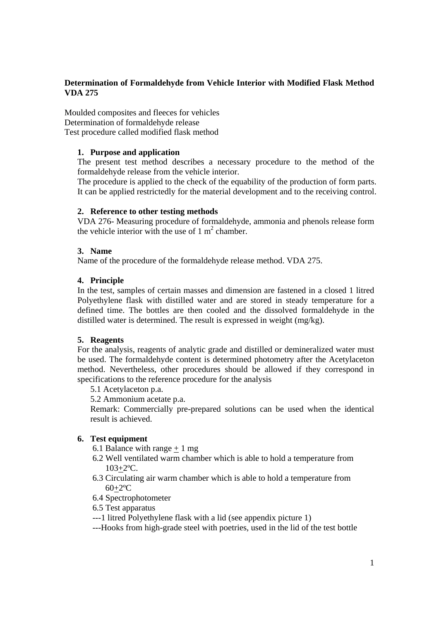# **Determination of Formaldehyde from Vehicle Interior with Modified Flask Method VDA 275**

Moulded composites and fleeces for vehicles Determination of formaldehyde release Test procedure called modified flask method

## **1. Purpose and application**

The present test method describes a necessary procedure to the method of the formaldehyde release from the vehicle interior.

The procedure is applied to the check of the equability of the production of form parts. It can be applied restrictedly for the material development and to the receiving control.

## **2. Reference to other testing methods**

VDA 276- Measuring procedure of formaldehyde, ammonia and phenols release form the vehicle interior with the use of  $1 \text{ m}^2$  chamber.

## **3. Name**

Name of the procedure of the formaldehyde release method. VDA 275.

## **4. Principle**

In the test, samples of certain masses and dimension are fastened in a closed 1 litred Polyethylene flask with distilled water and are stored in steady temperature for a defined time. The bottles are then cooled and the dissolved formaldehyde in the distilled water is determined. The result is expressed in weight (mg/kg).

## **5. Reagents**

For the analysis, reagents of analytic grade and distilled or demineralized water must be used. The formaldehyde content is determined photometry after the Acetylaceton method. Nevertheless, other procedures should be allowed if they correspond in specifications to the reference procedure for the analysis

5.1 Acetylaceton p.a.

5.2 Ammonium acetate p.a.

Remark: Commercially pre-prepared solutions can be used when the identical result is achieved.

## **6. Test equipment**

- 6.1 Balance with range  $+1$  mg
- 6.2 Well ventilated warm chamber which is able to hold a temperature from 103+2ºC.
- 6.3 Circulating air warm chamber which is able to hold a temperature from 60+2ºC
- 6.4 Spectrophotometer
- 6.5 Test apparatus
- ---1 litred Polyethylene flask with a lid (see appendix picture 1)
- ---Hooks from high-grade steel with poetries, used in the lid of the test bottle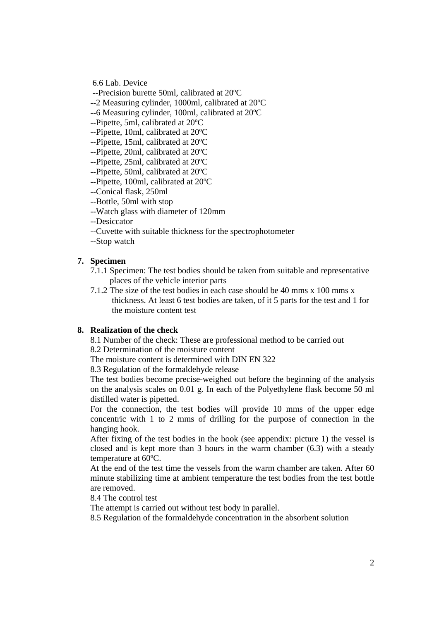6.6 Lab. Device

--Precision burette 50ml, calibrated at 20ºC

--2 Measuring cylinder, 1000ml, calibrated at 20ºC

--6 Measuring cylinder, 100ml, calibrated at 20ºC

--Pipette, 5ml, calibrated at 20ºC

--Pipette, 10ml, calibrated at 20ºC

--Pipette, 15ml, calibrated at 20ºC

--Pipette, 20ml, calibrated at 20ºC

--Pipette, 25ml, calibrated at 20ºC

--Pipette, 50ml, calibrated at 20ºC

--Pipette, 100ml, calibrated at 20ºC

--Conical flask, 250ml

--Bottle, 50ml with stop

--Watch glass with diameter of 120mm

--Desiccator

--Cuvette with suitable thickness for the spectrophotometer

--Stop watch

#### **7. Specimen**

7.1.1 Specimen: The test bodies should be taken from suitable and representative places of the vehicle interior parts

7.1.2 The size of the test bodies in each case should be 40 mms x 100 mms x thickness. At least 6 test bodies are taken, of it 5 parts for the test and 1 for the moisture content test

#### **8. Realization of the check**

8.1 Number of the check: These are professional method to be carried out

8.2 Determination of the moisture content

The moisture content is determined with DIN EN 322

8.3 Regulation of the formaldehyde release

The test bodies become precise-weighed out before the beginning of the analysis on the analysis scales on 0.01 g. In each of the Polyethylene flask become 50 ml distilled water is pipetted.

For the connection, the test bodies will provide 10 mms of the upper edge concentric with 1 to 2 mms of drilling for the purpose of connection in the hanging hook.

After fixing of the test bodies in the hook (see appendix: picture 1) the vessel is closed and is kept more than 3 hours in the warm chamber (6.3) with a steady temperature at 60ºC.

At the end of the test time the vessels from the warm chamber are taken. After 60 minute stabilizing time at ambient temperature the test bodies from the test bottle are removed.

8.4 The control test

The attempt is carried out without test body in parallel.

8.5 Regulation of the formaldehyde concentration in the absorbent solution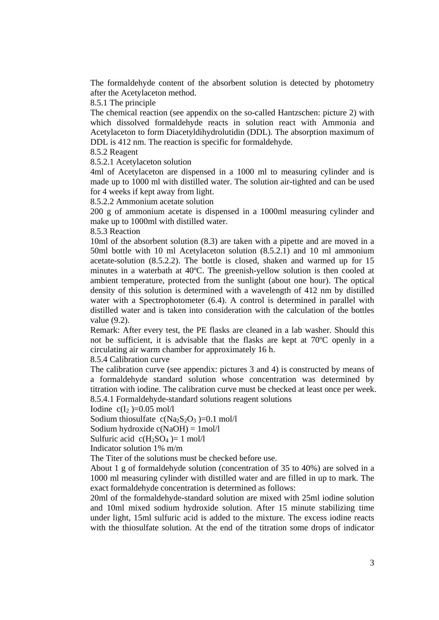The formaldehyde content of the absorbent solution is detected by photometry after the Acetylaceton method.

8.5.1 The principle

The chemical reaction (see appendix on the so-called Hantzschen: picture 2) with which dissolved formaldehyde reacts in solution react with Ammonia and Acetylaceton to form Diacetyldihydrolutidin (DDL). The absorption maximum of DDL is 412 nm. The reaction is specific for formaldehyde.

8.5.2 Reagent

8.5.2.1 Acetylaceton solution

4ml of Acetylaceton are dispensed in a 1000 ml to measuring cylinder and is made up to 1000 ml with distilled water. The solution air-tighted and can be used for 4 weeks if kept away from light.

8.5.2.2 Ammonium acetate solution

200 g of ammonium acetate is dispensed in a 1000ml measuring cylinder and make up to 1000ml with distilled water.

8.5.3 Reaction

10ml of the absorbent solution (8.3) are taken with a pipette and are moved in a 50ml bottle with 10 ml Acetylaceton solution (8.5.2.1) and 10 ml ammonium acetate-solution (8.5.2.2). The bottle is closed, shaken and warmed up for 15 minutes in a waterbath at 40ºC. The greenish-yellow solution is then cooled at ambient temperature, protected from the sunlight (about one hour). The optical density of this solution is determined with a wavelength of 412 nm by distilled water with a Spectrophotometer (6.4). A control is determined in parallel with distilled water and is taken into consideration with the calculation of the bottles value (9.2).

Remark: After every test, the PE flasks are cleaned in a lab washer. Should this not be sufficient, it is advisable that the flasks are kept at 70ºC openly in a circulating air warm chamber for approximately 16 h.

8.5.4 Calibration curve

The calibration curve (see appendix: pictures 3 and 4) is constructed by means of a formaldehyde standard solution whose concentration was determined by titration with iodine. The calibration curve must be checked at least once per week. 8.5.4.1 Formaldehyde-standard solutions reagent solutions

Iodine  $c(I_2) = 0.05$  mol/l

Sodium thiosulfate  $c(Na_2S_2O_3) = 0.1$  mol/l

Sodium hydroxide c(NaOH) = 1mol/l

Sulfuric acid  $c(H_2SO_4) = 1$  mol/l

Indicator solution 1% m/m

The Titer of the solutions must be checked before use.

About 1 g of formaldehyde solution (concentration of 35 to 40%) are solved in a 1000 ml measuring cylinder with distilled water and are filled in up to mark. The exact formaldehyde concentration is determined as follows:

20ml of the formaldehyde-standard solution are mixed with 25ml iodine solution and 10ml mixed sodium hydroxide solution. After 15 minute stabilizing time under light, 15ml sulfuric acid is added to the mixture. The excess iodine reacts with the thiosulfate solution. At the end of the titration some drops of indicator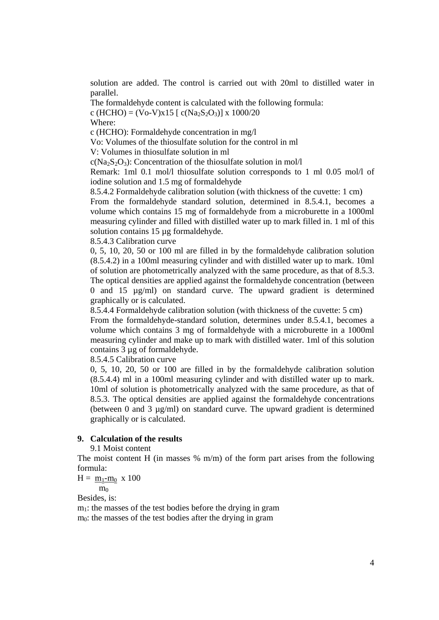solution are added. The control is carried out with 20ml to distilled water in parallel.

The formaldehyde content is calculated with the following formula: c (HCHO) = (Vo-V)x15 [ c(Na<sub>2</sub>S<sub>2</sub>O<sub>3</sub>)] x 1000/20

Where:

c (HCHO): Formaldehyde concentration in mg/l

Vo: Volumes of the thiosulfate solution for the control in ml

V: Volumes in thiosulfate solution in ml

 $c(Na_2S_2O_3)$ : Concentration of the thiosulfate solution in mol/l

Remark: 1ml 0.1 mol/l thiosulfate solution corresponds to 1 ml 0.05 mol/l of iodine solution and 1.5 mg of formaldehyde

8.5.4.2 Formaldehyde calibration solution (with thickness of the cuvette: 1 cm)

From the formaldehyde standard solution, determined in 8.5.4.1, becomes a volume which contains 15 mg of formaldehyde from a microburette in a 1000ml measuring cylinder and filled with distilled water up to mark filled in. 1 ml of this solution contains 15 µg formaldehyde.

8.5.4.3 Calibration curve

0, 5, 10, 20, 50 or 100 ml are filled in by the formaldehyde calibration solution (8.5.4.2) in a 100ml measuring cylinder and with distilled water up to mark. 10ml of solution are photometrically analyzed with the same procedure, as that of 8.5.3. The optical densities are applied against the formaldehyde concentration (between 0 and 15 µg/ml) on standard curve. The upward gradient is determined graphically or is calculated.

8.5.4.4 Formaldehyde calibration solution (with thickness of the cuvette: 5 cm)

From the formaldehyde-standard solution, determines under 8.5.4.1, becomes a volume which contains 3 mg of formaldehyde with a microburette in a 1000ml measuring cylinder and make up to mark with distilled water. 1ml of this solution contains 3 µg of formaldehyde.

8.5.4.5 Calibration curve

0, 5, 10, 20, 50 or 100 are filled in by the formaldehyde calibration solution (8.5.4.4) ml in a 100ml measuring cylinder and with distilled water up to mark. 10ml of solution is photometrically analyzed with the same procedure, as that of 8.5.3. The optical densities are applied against the formaldehyde concentrations (between 0 and 3  $\mu$ g/ml) on standard curve. The upward gradient is determined graphically or is calculated.

#### **9. Calculation of the results**

9.1 Moist content

The moist content H (in masses  $\%$  m/m) of the form part arises from the following formula:

$$
H = \underline{m_1 - m_0} \times 100
$$

 $m<sub>0</sub>$ 

Besides, is:

 $m<sub>1</sub>$ : the masses of the test bodies before the drying in gram  $m<sub>0</sub>$ : the masses of the test bodies after the drying in gram